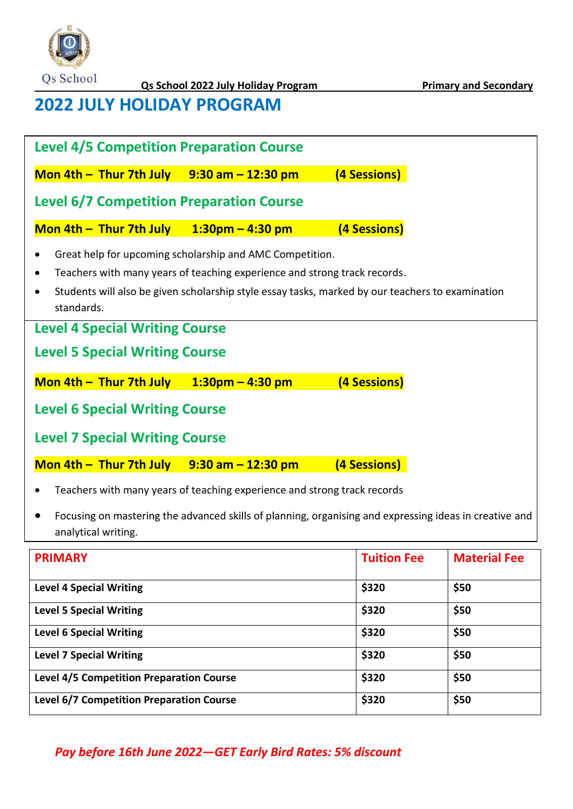

# **2022 JULY HOLIDAY PROGRAM**

| <b>Level 4/5 Competition Preparation Course</b>                                                                                                                                                                                                                      |                     |                    |                     |  |  |
|----------------------------------------------------------------------------------------------------------------------------------------------------------------------------------------------------------------------------------------------------------------------|---------------------|--------------------|---------------------|--|--|
| Mon 4th $-$ Thur 7th July 9:30 am $-$ 12:30 pm                                                                                                                                                                                                                       |                     | (4 Sessions)       |                     |  |  |
| <b>Level 6/7 Competition Preparation Course</b>                                                                                                                                                                                                                      |                     |                    |                     |  |  |
| Mon 4th - Thur 7th July                                                                                                                                                                                                                                              | $1:30$ pm – 4:30 pm | (4 Sessions)       |                     |  |  |
| Great help for upcoming scholarship and AMC Competition.<br>Teachers with many years of teaching experience and strong track records.<br>$\bullet$<br>Students will also be given scholarship style essay tasks, marked by our teachers to examination<br>standards. |                     |                    |                     |  |  |
| <b>Level 4 Special Writing Course</b>                                                                                                                                                                                                                                |                     |                    |                     |  |  |
| <b>Level 5 Special Writing Course</b>                                                                                                                                                                                                                                |                     |                    |                     |  |  |
| Mon 4th $-$ Thur 7th July                                                                                                                                                                                                                                            | $1:30$ pm – 4:30 pm | (4 Sessions)       |                     |  |  |
| <b>Level 6 Special Writing Course</b>                                                                                                                                                                                                                                |                     |                    |                     |  |  |
| <b>Level 7 Special Writing Course</b>                                                                                                                                                                                                                                |                     |                    |                     |  |  |
| Mon 4th $-$ Thur 7th July 9:30 am $-$ 12:30 pm                                                                                                                                                                                                                       |                     | (4 Sessions)       |                     |  |  |
| Teachers with many years of teaching experience and strong track records                                                                                                                                                                                             |                     |                    |                     |  |  |
| Focusing on mastering the advanced skills of planning, organising and expressing ideas in creative and<br>analytical writing.                                                                                                                                        |                     |                    |                     |  |  |
| <b>PRIMARY</b>                                                                                                                                                                                                                                                       |                     | <b>Tuition Fee</b> | <b>Material Fee</b> |  |  |

| <b>PRIMARY</b>                                  | <b>Tuition Fee</b> | <b>Material Fee</b> |
|-------------------------------------------------|--------------------|---------------------|
| <b>Level 4 Special Writing</b>                  | \$320              | \$50                |
| <b>Level 5 Special Writing</b>                  | \$320              | \$50                |
| <b>Level 6 Special Writing</b>                  | \$320              | \$50                |
| <b>Level 7 Special Writing</b>                  | \$320              | \$50                |
| <b>Level 4/5 Competition Preparation Course</b> | \$320              | \$50                |
| <b>Level 6/7 Competition Preparation Course</b> | \$320              | \$50                |

### *Pay before 16th June 2022—GET Early Bird Rates: 5% discount*